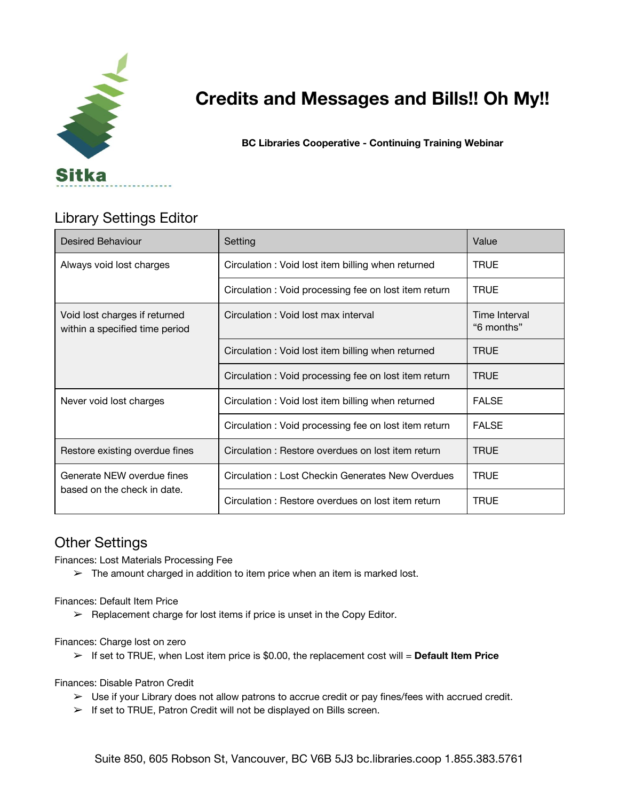

# **Credits and Messages and Bills!! Oh My!!**

**BC Libraries Cooperative - Continuing Training Webinar**

## Library Settings Editor

| <b>Desired Behaviour</b>                                        | Setting                                              | Value                       |
|-----------------------------------------------------------------|------------------------------------------------------|-----------------------------|
| Always void lost charges                                        | Circulation: Void lost item billing when returned    | <b>TRUE</b>                 |
|                                                                 | Circulation: Void processing fee on lost item return | <b>TRUE</b>                 |
| Void lost charges if returned<br>within a specified time period | Circulation: Void lost max interval                  | Time Interval<br>"6 months" |
|                                                                 | Circulation: Void lost item billing when returned    | TRUE                        |
|                                                                 | Circulation: Void processing fee on lost item return | <b>TRUE</b>                 |
| Never void lost charges                                         | Circulation: Void lost item billing when returned    | <b>FALSE</b>                |
|                                                                 | Circulation: Void processing fee on lost item return | <b>FALSE</b>                |
| Restore existing overdue fines                                  | Circulation: Restore overdues on lost item return    | <b>TRUE</b>                 |
| Generate NEW overdue fines<br>based on the check in date.       | Circulation: Lost Checkin Generates New Overdues     | <b>TRUE</b>                 |
|                                                                 | Circulation: Restore overdues on lost item return    | <b>TRUE</b>                 |

### Other Settings

Finances: Lost Materials Processing Fee

 $\triangleright$  The amount charged in addition to item price when an item is marked lost.

Finances: Default Item Price

 $\triangleright$  Replacement charge for lost items if price is unset in the Copy Editor.

Finances: Charge lost on zero

➢ If set to TRUE, when Lost item price is \$0.00, the replacement cost will = **Default Item Price**

Finances: Disable Patron Credit

- $\triangleright$  Use if your Library does not allow patrons to accrue credit or pay fines/fees with accrued credit.
- ➢ If set to TRUE, Patron Credit will not be displayed on Bills screen.